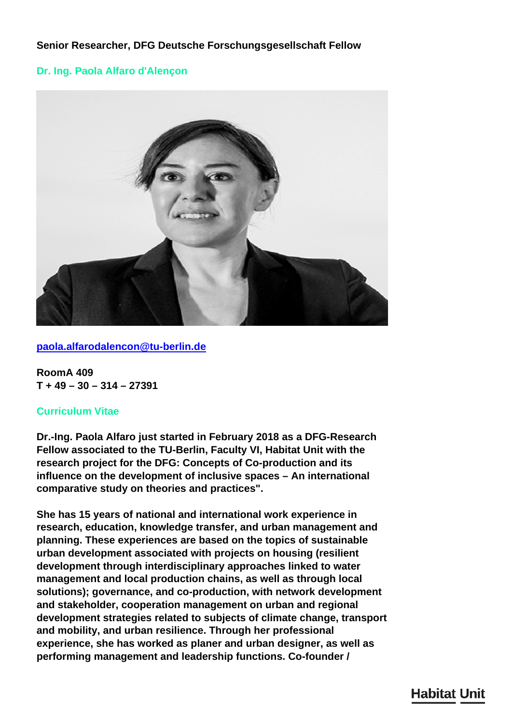# **Senior Researcher, DFG Deutsche Forschungsgesellschaft Fellow**

## **Dr. Ing. Paola Alfaro d'Alençon**



**[paola.alfarodalencon@tu-berlin.de](mailto:paola.alfarodalencon@tu-berlin.de)**

**RoomA 409 T + 49 – 30 – 314 – 27391**

## **Curriculum Vitae**

**Dr.-Ing. Paola Alfaro just started in February 2018 as a DFG-Research Fellow associated to the TU-Berlin, Faculty VI, Habitat Unit with the research project for the DFG: Concepts of Co-production and its influence on the development of inclusive spaces – An international comparative study on theories and practices".**

**She has 15 years of national and international work experience in research, education, knowledge transfer, and urban management and planning. These experiences are based on the topics of sustainable urban development associated with projects on housing (resilient development through interdisciplinary approaches linked to water management and local production chains, as well as through local solutions); governance, and co-production, with network development and stakeholder, cooperation management on urban and regional development strategies related to subjects of climate change, transport and mobility, and urban resilience. Through her professional experience, she has worked as planer and urban designer, as well as performing management and leadership functions. Co-founder /**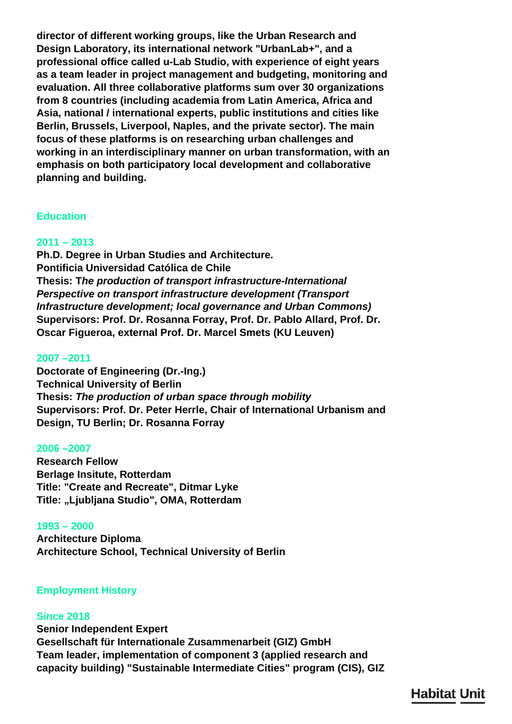**director of different working groups, like the Urban Research and Design Laboratory, its international network "UrbanLab+", and a professional office called u-Lab Studio, with experience of eight years as a team leader in project management and budgeting, monitoring and evaluation. All three collaborative platforms sum over 30 organizations from 8 countries (including academia from Latin America, Africa and Asia, national / international experts, public institutions and cities like Berlin, Brussels, Liverpool, Naples, and the private sector). The main focus of these platforms is on researching urban challenges and working in an interdisciplinary manner on urban transformation, with an emphasis on both participatory local development and collaborative planning and building.**

### **Education**

## **2011 – 2013**

**Ph.D. Degree in Urban Studies and Architecture. Pontificia Universidad Católica de Chile Thesis: T***he production of transport infrastructure-International Perspective on transport infrastructure development (Transport Infrastructure development; local governance and Urban Commons)* **Supervisors: Prof. Dr. Rosanna Forray, Prof. Dr. Pablo Allard, Prof. Dr. Oscar Figueroa, external Prof. Dr. Marcel Smets (KU Leuven)**

### **2007 –2011**

**Doctorate of Engineering (Dr.-Ing.) Technical University of Berlin Thesis:** *The production of urban space through mobility* **Supervisors: Prof. Dr. Peter Herrle, Chair of International Urbanism and Design, TU Berlin; Dr. Rosanna Forray**

#### **2006 –2007**

**Research Fellow Berlage Insitute, Rotterdam Title: "Create and Recreate", Ditmar Lyke Title: "Ljubljana Studio", OMA, Rotterdam**

#### **1993 – 2000**

**Architecture Diploma Architecture School, Technical University of Berlin**

## **Employment History**

#### **Since 2018**

**Senior Independent Expert Gesellschaft für Internationale Zusammenarbeit (GIZ) GmbH Team leader, implementation of component 3 (applied research and capacity building) "Sustainable Intermediate Cities" program (CIS), GIZ**

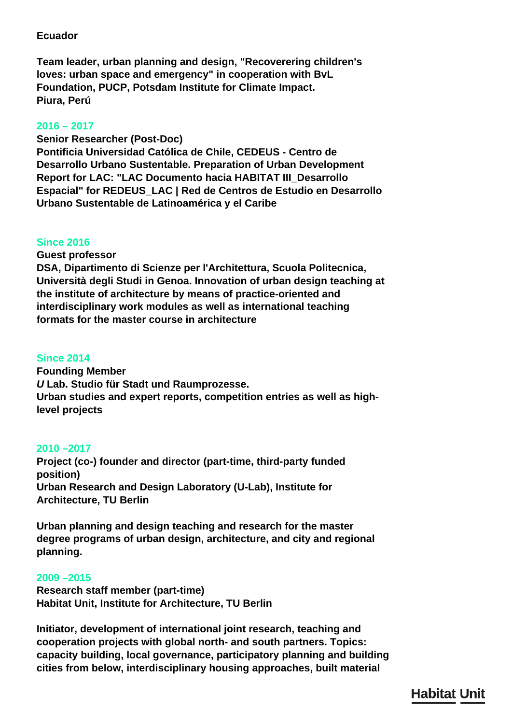# **Ecuador**

**Team leader, urban planning and design, "Recoverering children's loves: urban space and emergency" in cooperation with BvL Foundation, PUCP, Potsdam Institute for Climate Impact. Piura, Perú**

# **2016 – 2017**

**Senior Researcher (Post-Doc) Pontificia Universidad Católica de Chile, CEDEUS - Centro de Desarrollo Urbano Sustentable. Preparation of Urban Development Report for LAC: "LAC Documento hacia HABITAT III\_Desarrollo Espacial" for REDEUS\_LAC | Red de Centros de Estudio en Desarrollo Urbano Sustentable de Latinoamérica y el Caribe**

# **Since 2016**

**Guest professor**

**DSA, Dipartimento di Scienze per l'Architettura, Scuola Politecnica, Università degli Studi in Genoa. Innovation of urban design teaching at the institute of architecture by means of practice-oriented and interdisciplinary work modules as well as international teaching formats for the master course in architecture**

# **Since 2014**

**Founding Member** *U* **Lab. Studio für Stadt und Raumprozesse. Urban studies and expert reports, competition entries as well as highlevel projects**

# **2010 –2017**

**Project (co-) founder and director (part-time, third-party funded position) Urban Research and Design Laboratory (U-Lab), Institute for Architecture, TU Berlin**

**Urban planning and design teaching and research for the master degree programs of urban design, architecture, and city and regional planning.**

# **2009 –2015**

**Research staff member (part-time) Habitat Unit, Institute for Architecture, TU Berlin**

**Initiator, development of international joint research, teaching and cooperation projects with global north- and south partners. Topics: capacity building, local governance, participatory planning and building cities from below, interdisciplinary housing approaches, built material**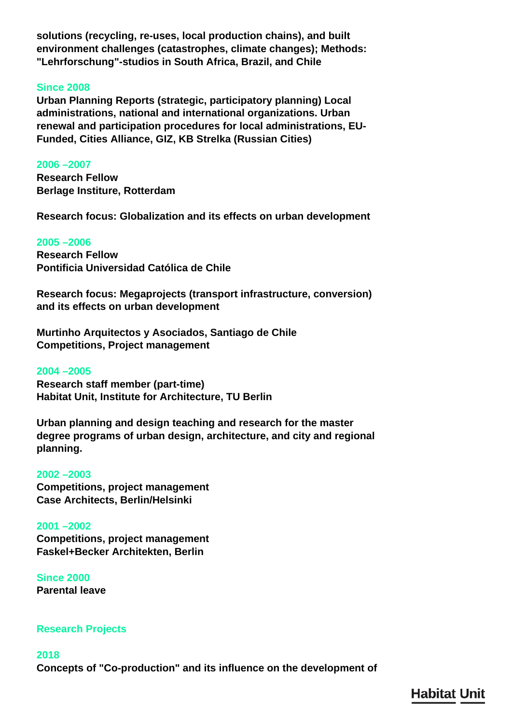**solutions (recycling, re-uses, local production chains), and built environment challenges (catastrophes, climate changes); Methods: "Lehrforschung"-studios in South Africa, Brazil, and Chile**

### **Since 2008**

**Urban Planning Reports (strategic, participatory planning) Local administrations, national and international organizations. Urban renewal and participation procedures for local administrations, EU-Funded, Cities Alliance, GIZ, KB Strelka (Russian Cities)**

#### **2006 –2007**

**Research Fellow Berlage Institure, Rotterdam**

**Research focus: Globalization and its effects on urban development**

#### **2005 –2006**

**Research Fellow Pontificia Universidad Católica de Chile**

**Research focus: Megaprojects (transport infrastructure, conversion) and its effects on urban development**

**Murtinho Arquitectos y Asociados, Santiago de Chile Competitions, Project management**

#### **2004 –2005**

**Research staff member (part-time) Habitat Unit, Institute for Architecture, TU Berlin**

**Urban planning and design teaching and research for the master degree programs of urban design, architecture, and city and regional planning.**

#### **2002 –2003**

**Competitions, project management Case Architects, Berlin/Helsinki**

## **2001 –2002**

**Competitions, project management Faskel+Becker Architekten, Berlin**

**Since 2000 Parental leave**

## **Research Projects**

## **2018**

**Concepts of "Co-production" and its influence on the development of**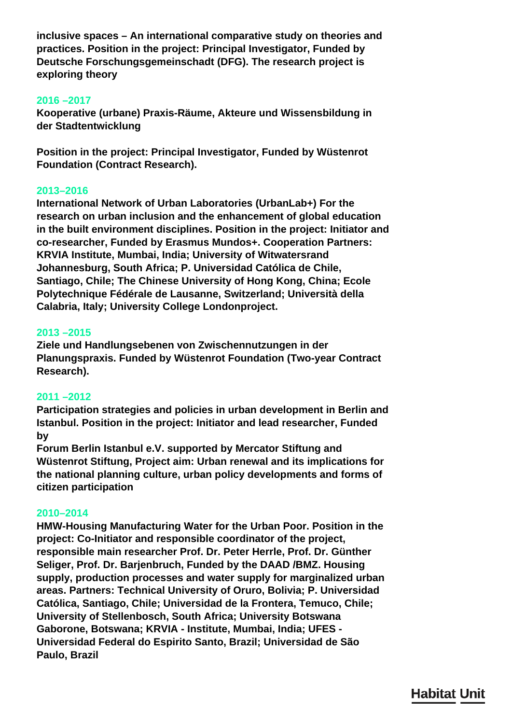**inclusive spaces – An international comparative study on theories and practices. Position in the project: Principal Investigator, Funded by Deutsche Forschungsgemeinschadt (DFG). The research project is exploring theory**

## **2016 –2017**

**Kooperative (urbane) Praxis-Räume, Akteure und Wissensbildung in der Stadtentwicklung**

**Position in the project: Principal Investigator, Funded by Wüstenrot Foundation (Contract Research).**

## **2013–2016**

**International Network of Urban Laboratories (UrbanLab+) For the research on urban inclusion and the enhancement of global education in the built environment disciplines. Position in the project: Initiator and co-researcher, Funded by Erasmus Mundos+. Cooperation Partners: KRVIA Institute, Mumbai, India; University of Witwatersrand Johannesburg, South Africa; P. Universidad Católica de Chile, Santiago, Chile; The Chinese University of Hong Kong, China; Ecole Polytechnique Fédérale de Lausanne, Switzerland; Università della Calabria, Italy; University College Londonproject.**

## **2013 –2015**

**Ziele und Handlungsebenen von Zwischennutzungen in der Planungspraxis. Funded by Wüstenrot Foundation (Two-year Contract Research).**

# **2011 –2012**

**Participation strategies and policies in urban development in Berlin and Istanbul. Position in the project: Initiator and lead researcher, Funded by**

**Forum Berlin Istanbul e.V. supported by Mercator Stiftung and Wüstenrot Stiftung, Project aim: Urban renewal and its implications for the national planning culture, urban policy developments and forms of citizen participation**

## **2010–2014**

**HMW-Housing Manufacturing Water for the Urban Poor. Position in the project: Co-Initiator and responsible coordinator of the project, responsible main researcher Prof. Dr. Peter Herrle, Prof. Dr. Günther Seliger, Prof. Dr. Barjenbruch, Funded by the DAAD /BMZ. Housing supply, production processes and water supply for marginalized urban areas. Partners: Technical University of Oruro, Bolivia; P. Universidad Católica, Santiago, Chile; Universidad de la Frontera, Temuco, Chile; University of Stellenbosch, South Africa; University Botswana Gaborone, Botswana; KRVIA - Institute, Mumbai, India; UFES - Universidad Federal do Espirito Santo, Brazil; Universidad de São Paulo, Brazil**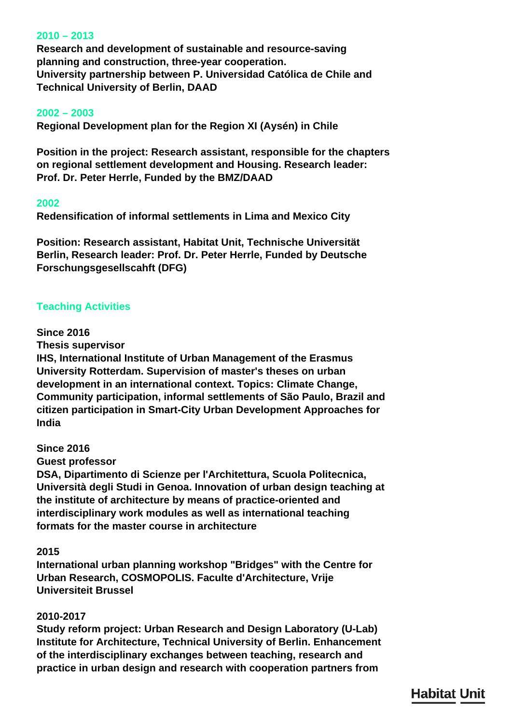## **2010 – 2013**

**Research and development of sustainable and resource-saving planning and construction, three-year cooperation. University partnership between P. Universidad Católica de Chile and Technical University of Berlin, DAAD**

### **2002 – 2003**

**Regional Development plan for the Region XI (Aysén) in Chile**

**Position in the project: Research assistant, responsible for the chapters on regional settlement development and Housing. Research leader: Prof. Dr. Peter Herrle, Funded by the BMZ/DAAD**

#### **2002**

**Redensification of informal settlements in Lima and Mexico City**

**Position: Research assistant, Habitat Unit, Technische Universität Berlin, Research leader: Prof. Dr. Peter Herrle, Funded by Deutsche Forschungsgesellscahft (DFG)**

## **Teaching Activities**

#### **Since 2016**

**Thesis supervisor**

**IHS, International Institute of Urban Management of the Erasmus University Rotterdam. Supervision of master's theses on urban development in an international context. Topics: Climate Change, Community participation, informal settlements of São Paulo, Brazil and citizen participation in Smart-City Urban Development Approaches for India**

## **Since 2016**

**Guest professor**

**DSA, Dipartimento di Scienze per l'Architettura, Scuola Politecnica, Università degli Studi in Genoa. Innovation of urban design teaching at the institute of architecture by means of practice-oriented and interdisciplinary work modules as well as international teaching formats for the master course in architecture**

## **2015**

**International urban planning workshop "Bridges" with the Centre for Urban Research, COSMOPOLIS. Faculte d'Architecture, Vrije Universiteit Brussel**

## **2010-2017**

**Study reform project: Urban Research and Design Laboratory (U-Lab) Institute for Architecture, Technical University of Berlin. Enhancement of the interdisciplinary exchanges between teaching, research and practice in urban design and research with cooperation partners from**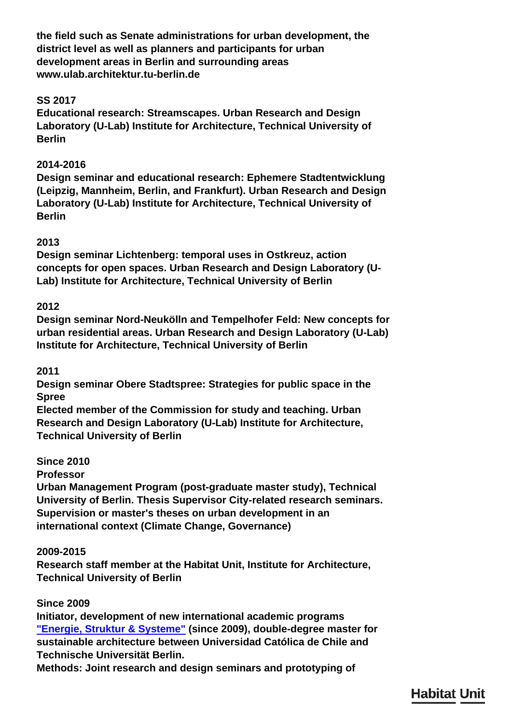**the field such as Senate administrations for urban development, the district level as well as planners and participants for urban development areas in Berlin and surrounding areas www.ulab.architektur.tu-berlin.de**

# **SS 2017**

**Educational research: Streamscapes. Urban Research and Design Laboratory (U-Lab) Institute for Architecture, Technical University of Berlin**

# **2014-2016**

**Design seminar and educational research: Ephemere Stadtentwicklung (Leipzig, Mannheim, Berlin, and Frankfurt). Urban Research and Design Laboratory (U-Lab) Institute for Architecture, Technical University of Berlin**

# **2013**

**Design seminar Lichtenberg: temporal uses in Ostkreuz, action concepts for open spaces. Urban Research and Design Laboratory (U-Lab) Institute for Architecture, Technical University of Berlin**

# **2012**

**Design seminar Nord-Neukölln and Tempelhofer Feld: New concepts for urban residential areas. Urban Research and Design Laboratory (U-Lab) Institute for Architecture, Technical University of Berlin**

# **2011**

**Design seminar Obere Stadtspree: Strategies for public space in the Spree**

**Elected member of the Commission for study and teaching. Urban Research and Design Laboratory (U-Lab) Institute for Architecture, Technical University of Berlin**

# **Since 2010**

**Professor**

**Urban Management Program (post-graduate master study), Technical University of Berlin. Thesis Supervisor City-related research seminars. Supervision or master's theses on urban development in an international context (Climate Change, Governance)**

# **2009-2015**

**Research staff member at the Habitat Unit, Institute for Architecture, Technical University of Berlin**

# **Since 2009**

**Initiator, development of new international academic programs ["Energie, Struktur & Systeme"](http://www.energyandbuilding.uc.cl/teaching.html) (since 2009), double-degree master for sustainable architecture between Universidad Católica de Chile and Technische Universität Berlin.**

**Methods: Joint research and design seminars and prototyping of**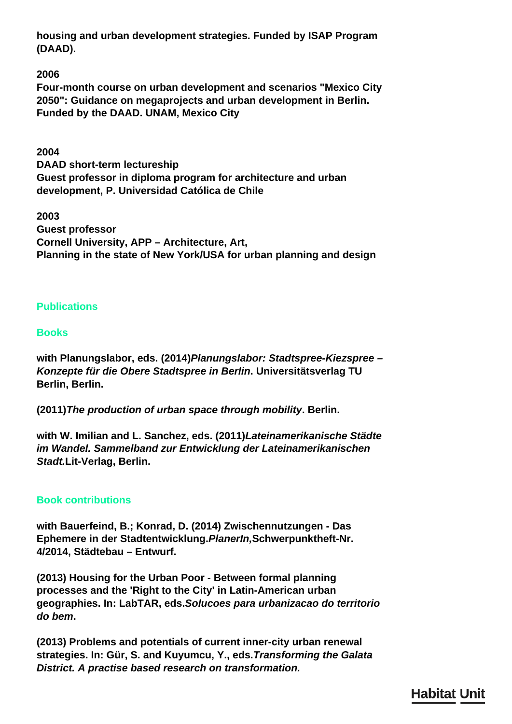**housing and urban development strategies. Funded by ISAP Program (DAAD).**

**2006**

**Four-month course on urban development and scenarios "Mexico City 2050": Guidance on megaprojects and urban development in Berlin. Funded by the DAAD. UNAM, Mexico City**

**2004**

**DAAD short-term lectureship Guest professor in diploma program for architecture and urban development, P. Universidad Católica de Chile**

**2003 Guest professor Cornell University, APP – Architecture, Art, Planning in the state of New York/USA for urban planning and design**

# **Publications**

# **Books**

**with Planungslabor, eds. (2014)***Planungslabor: Stadtspree-Kiezspree – Konzepte für die Obere Stadtspree in Berlin***. Universitätsverlag TU Berlin, Berlin.**

**(2011)***The production of urban space through mobility***. Berlin.**

**with W. Imilian and L. Sanchez, eds. (2011)***Lateinamerikanische Städte im Wandel. Sammelband zur Entwicklung der Lateinamerikanischen Stadt.***Lit-Verlag, Berlin.**

# **Book contributions**

**with Bauerfeind, B.; Konrad, D. (2014) Zwischennutzungen - Das Ephemere in der Stadtentwicklung.***PlanerIn,***Schwerpunktheft-Nr. 4/2014, Städtebau – Entwurf.**

**(2013) Housing for the Urban Poor - Between formal planning processes and the 'Right to the City' in Latin-American urban geographies. In: LabTAR, eds.***Solucoes para urbanizacao do territorio do bem***.**

**(2013) Problems and potentials of current inner-city urban renewal strategies. In: Gür, S. and Kuyumcu, Y., eds.***Transforming the Galata District. A practise based research on transformation.*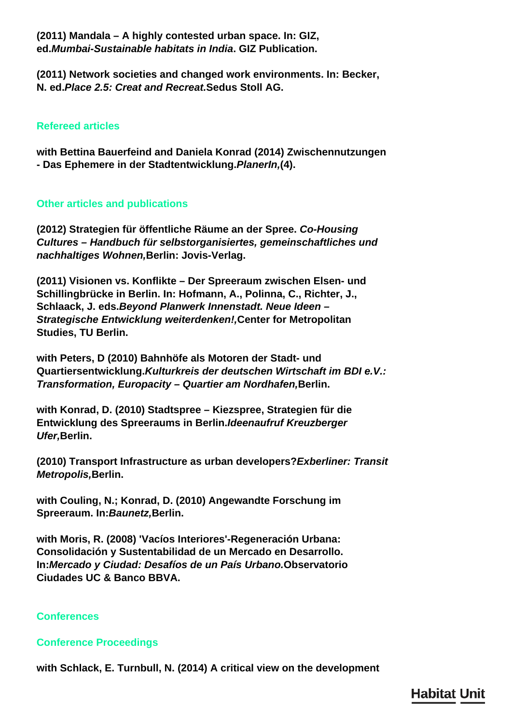**(2011) Mandala – A highly contested urban space. In: GIZ, ed.***Mumbai-Sustainable habitats in India***. GIZ Publication.**

**(2011) Network societies and changed work environments. In: Becker, N. ed.***Place 2.5: Creat and Recreat.***Sedus Stoll AG.**

## **Refereed articles**

**with Bettina Bauerfeind and Daniela Konrad (2014) Zwischennutzungen - Das Ephemere in der Stadtentwicklung.***PlanerIn,***(4).**

## **Other articles and publications**

**(2012) Strategien für öffentliche Räume an der Spree.** *Co-Housing Cultures – Handbuch für selbstorganisiertes, gemeinschaftliches und nachhaltiges Wohnen,***Berlin: Jovis-Verlag.**

**(2011) Visionen vs. Konflikte – Der Spreeraum zwischen Elsen- und Schillingbrücke in Berlin. In: Hofmann, A., Polinna, C., Richter, J., Schlaack, J. eds.***Beyond Planwerk Innenstadt. Neue Ideen – Strategische Entwicklung weiterdenken!,***Center for Metropolitan Studies, TU Berlin.**

**with Peters, D (2010) Bahnhöfe als Motoren der Stadt- und Quartiersentwicklung.***Kulturkreis der deutschen Wirtschaft im BDI e.V.: Transformation, Europacity – Quartier am Nordhafen,***Berlin.**

**with Konrad, D. (2010) Stadtspree – Kiezspree, Strategien für die Entwicklung des Spreeraums in Berlin.***Ideenaufruf Kreuzberger Ufer,***Berlin.**

**(2010) Transport Infrastructure as urban developers?***Exberliner: Transit Metropolis,***Berlin.**

**with Couling, N.; Konrad, D. (2010) Angewandte Forschung im Spreeraum. In:***Baunetz,***Berlin.**

**with Moris, R. (2008) 'Vacíos Interiores'-Regeneración Urbana: Consolidación y Sustentabilidad de un Mercado en Desarrollo. In:***Mercado y Ciudad: Desafíos de un País Urbano.***Observatorio Ciudades UC & Banco BBVA.**

## **Conferences**

## **Conference Proceedings**

**with Schlack, E. Turnbull, N. (2014) A critical view on the development**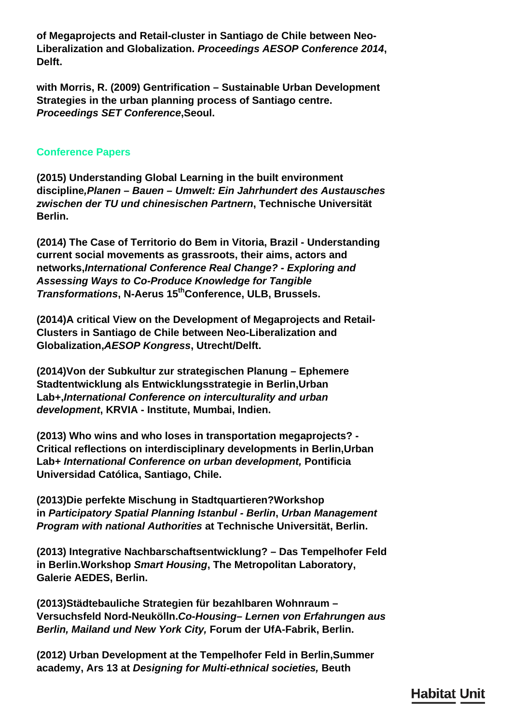**of Megaprojects and Retail-cluster in Santiago de Chile between Neo-Liberalization and Globalization.** *Proceedings AESOP Conference 2014***, Delft.**

**with Morris, R. (2009) Gentrification – Sustainable Urban Development Strategies in the urban planning process of Santiago centre.**  *Proceedings SET Conference***,Seoul.**

## **Conference Papers**

**(2015) Understanding Global Learning in the built environment discipline***,Planen – Bauen – Umwelt: Ein Jahrhundert des Austausches zwischen der TU und chinesischen Partnern***, Technische Universität Berlin.**

**(2014) The Case of Territorio do Bem in Vitoria, Brazil - Understanding current social movements as grassroots, their aims, actors and networks,***International Conference Real Change? - Exploring and Assessing Ways to Co-Produce Knowledge for Tangible Transformations***, N-Aerus 15thConference, ULB, Brussels.**

**(2014)A critical View on the Development of Megaprojects and Retail-Clusters in Santiago de Chile between Neo-Liberalization and Globalization,***AESOP Kongress***, Utrecht/Delft.**

**(2014)Von der Subkultur zur strategischen Planung – Ephemere Stadtentwicklung als Entwicklungsstrategie in Berlin,Urban Lab+,***International Conference on interculturality and urban development***, KRVIA - Institute, Mumbai, Indien.**

**(2013) Who wins and who loses in transportation megaprojects? - Critical reflections on interdisciplinary developments in Berlin,Urban Lab+** *International Conference on urban development,* **Pontificia Universidad Católica, Santiago, Chile.**

**(2013)Die perfekte Mischung in Stadtquartieren?Workshop in** *Participatory Spatial Planning Istanbul - Berlin***,** *Urban Management Program with national Authorities* **at Technische Universität, Berlin.**

**(2013) Integrative Nachbarschaftsentwicklung? – Das Tempelhofer Feld in Berlin.Workshop** *Smart Housing***, The Metropolitan Laboratory, Galerie AEDES, Berlin.**

**(2013)Städtebauliche Strategien für bezahlbaren Wohnraum – Versuchsfeld Nord-Neukölln.***Co-Housing– Lernen von Erfahrungen aus Berlin, Mailand und New York City,* **Forum der UfA-Fabrik, Berlin.**

**(2012) Urban Development at the Tempelhofer Feld in Berlin,Summer academy, Ars 13 at** *Designing for Multi-ethnical societies,* **Beuth**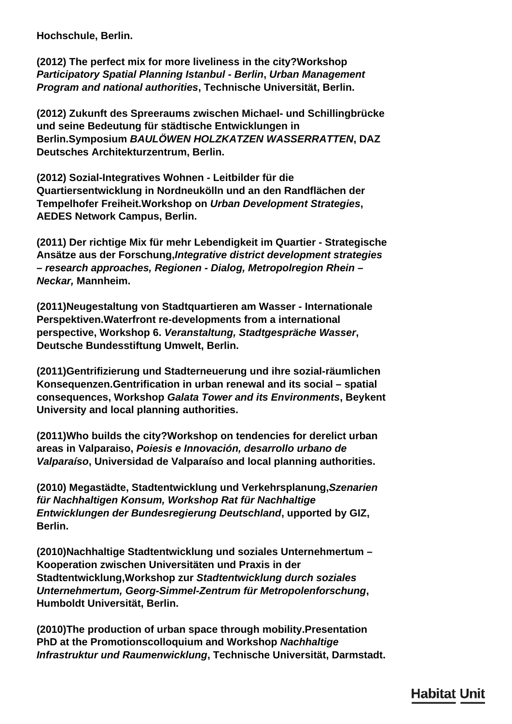**Hochschule, Berlin.**

**(2012) The perfect mix for more liveliness in the city?Workshop**  *Participatory Spatial Planning Istanbul - Berlin***,** *Urban Management Program and national authorities***, Technische Universität, Berlin.**

**(2012) Zukunft des Spreeraums zwischen Michael- und Schillingbrücke und seine Bedeutung für städtische Entwicklungen in Berlin.Symposium** *BAULÖWEN HOLZKATZEN WASSERRATTEN***, DAZ Deutsches Architekturzentrum, Berlin.**

**(2012) Sozial-Integratives Wohnen - Leitbilder für die Quartiersentwicklung in Nordneukölln und an den Randflächen der Tempelhofer Freiheit.Workshop on** *Urban Development Strategies***, AEDES Network Campus, Berlin.**

**(2011) Der richtige Mix für mehr Lebendigkeit im Quartier - Strategische Ansätze aus der Forschung,***Integrative district development strategies – research approaches, Regionen - Dialog, Metropolregion Rhein – Neckar,* **Mannheim.**

**(2011)Neugestaltung von Stadtquartieren am Wasser - Internationale Perspektiven.Waterfront re-developments from a international perspective, Workshop 6.** *Veranstaltung, Stadtgespräche Wasser***, Deutsche Bundesstiftung Umwelt, Berlin.**

**(2011)Gentrifizierung und Stadterneuerung und ihre sozial-räumlichen Konsequenzen.Gentrification in urban renewal and its social – spatial consequences, Workshop** *Galata Tower and its Environments***, Beykent University and local planning authorities.**

**(2011)Who builds the city?Workshop on tendencies for derelict urban areas in Valparaiso,** *Poiesis e Innovación, desarrollo urbano de Valparaíso***, Universidad de Valparaíso and local planning authorities.**

**(2010) Megastädte, Stadtentwicklung und Verkehrsplanung,***Szenarien für Nachhaltigen Konsum, Workshop Rat für Nachhaltige Entwicklungen der Bundesregierung Deutschland***, upported by GIZ, Berlin.**

**(2010)Nachhaltige Stadtentwicklung und soziales Unternehmertum – Kooperation zwischen Universitäten und Praxis in der Stadtentwicklung,Workshop zur** *Stadtentwicklung durch soziales Unternehmertum, Georg-Simmel-Zentrum für Metropolenforschung***, Humboldt Universität, Berlin.**

**(2010)The production of urban space through mobility.Presentation PhD at the Promotionscolloquium and Workshop** *Nachhaltige Infrastruktur und Raumenwicklung***, Technische Universität, Darmstadt.**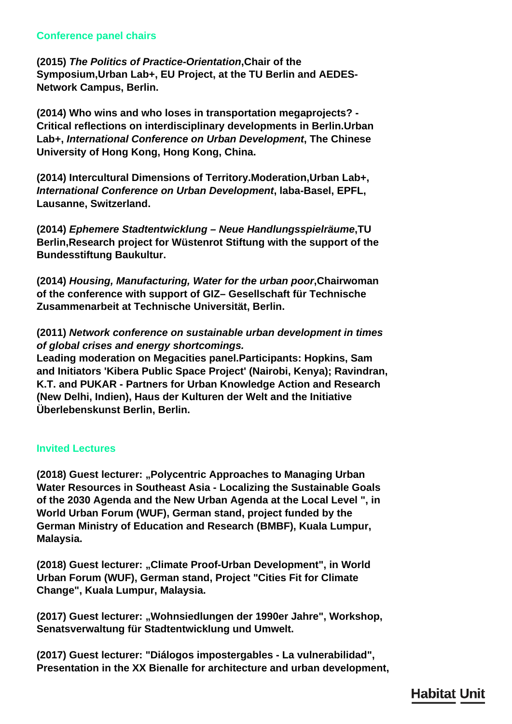## **Conference panel chairs**

**(2015)** *The Politics of Practice-Orientation***,Chair of the Symposium,Urban Lab+, EU Project, at the TU Berlin and AEDES-Network Campus, Berlin.**

**(2014) Who wins and who loses in transportation megaprojects? - Critical reflections on interdisciplinary developments in Berlin.Urban Lab+,** *International Conference on Urban Development***, The Chinese University of Hong Kong, Hong Kong, China.**

**(2014) Intercultural Dimensions of Territory.Moderation,Urban Lab+,**  *International Conference on Urban Development***, laba-Basel, EPFL, Lausanne, Switzerland.**

**(2014)** *Ephemere Stadtentwicklung – Neue Handlungsspielräume***,TU Berlin,Research project for Wüstenrot Stiftung with the support of the Bundesstiftung Baukultur.**

**(2014)** *Housing, Manufacturing, Water for the urban poor***,Chairwoman of the conference with support of GIZ– Gesellschaft für Technische Zusammenarbeit at Technische Universität, Berlin.**

**(2011)** *Network conference on sustainable urban development in times of global crises and energy shortcomings.*

**Leading moderation on Megacities panel.Participants: Hopkins, Sam and Initiators 'Kibera Public Space Project' (Nairobi, Kenya); Ravindran, K.T. and PUKAR - Partners for Urban Knowledge Action and Research (New Delhi, Indien), Haus der Kulturen der Welt and the Initiative Überlebenskunst Berlin, Berlin.**

# **Invited Lectures**

**(2018) Guest lecturer: "Polycentric Approaches to Managing Urban Water Resources in Southeast Asia - Localizing the Sustainable Goals of the 2030 Agenda and the New Urban Agenda at the Local Level ", in World Urban Forum (WUF), German stand, project funded by the German Ministry of Education and Research (BMBF), Kuala Lumpur, Malaysia.**

**(2018) Guest lecturer: "Climate Proof-Urban Development", in World Urban Forum (WUF), German stand, Project "Cities Fit for Climate Change", Kuala Lumpur, Malaysia.**

**(2017) Guest lecturer: "Wohnsiedlungen der 1990er Jahre", Workshop, Senatsverwaltung für Stadtentwicklung und Umwelt.**

**(2017) Guest lecturer: "Diálogos impostergables - La vulnerabilidad", Presentation in the XX Bienalle for architecture and urban development,**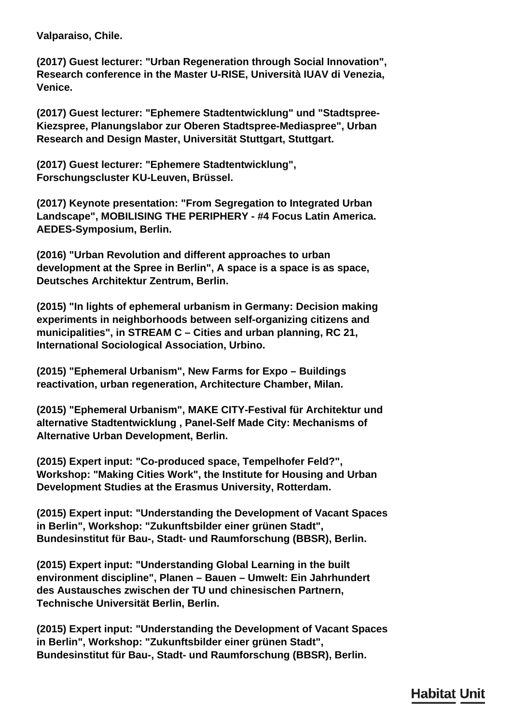**Valparaiso, Chile.**

**(2017) Guest lecturer: "Urban Regeneration through Social Innovation", Research conference in the Master U-RISE, Università IUAV di Venezia, Venice.**

**(2017) Guest lecturer: "Ephemere Stadtentwicklung" und "Stadtspree-Kiezspree, Planungslabor zur Oberen Stadtspree-Mediaspree", Urban Research and Design Master, Universität Stuttgart, Stuttgart.**

**(2017) Guest lecturer: "Ephemere Stadtentwicklung", Forschungscluster KU-Leuven, Brüssel.**

**(2017) Keynote presentation: "From Segregation to Integrated Urban Landscape", MOBILISING THE PERIPHERY - #4 Focus Latin America. AEDES-Symposium, Berlin.**

**(2016) "Urban Revolution and different approaches to urban development at the Spree in Berlin", A space is a space is as space, Deutsches Architektur Zentrum, Berlin.**

**(2015) "In lights of ephemeral urbanism in Germany: Decision making experiments in neighborhoods between self-organizing citizens and municipalities", in STREAM C – Cities and urban planning, RC 21, International Sociological Association, Urbino.**

**(2015) "Ephemeral Urbanism", New Farms for Expo – Buildings reactivation, urban regeneration, Architecture Chamber, Milan.**

**(2015) "Ephemeral Urbanism", MAKE CITY-Festival für Architektur und alternative Stadtentwicklung , Panel-Self Made City: Mechanisms of Alternative Urban Development, Berlin.**

**(2015) Expert input: "Co-produced space, Tempelhofer Feld?", Workshop: "Making Cities Work", the Institute for Housing and Urban Development Studies at the Erasmus University, Rotterdam.**

**(2015) Expert input: "Understanding the Development of Vacant Spaces in Berlin", Workshop: "Zukunftsbilder einer grünen Stadt", Bundesinstitut für Bau-, Stadt- und Raumforschung (BBSR), Berlin.**

**(2015) Expert input: "Understanding Global Learning in the built environment discipline", Planen – Bauen – Umwelt: Ein Jahrhundert des Austausches zwischen der TU und chinesischen Partnern, Technische Universität Berlin, Berlin.**

**(2015) Expert input: "Understanding the Development of Vacant Spaces in Berlin", Workshop: "Zukunftsbilder einer grünen Stadt", Bundesinstitut für Bau-, Stadt- und Raumforschung (BBSR), Berlin.**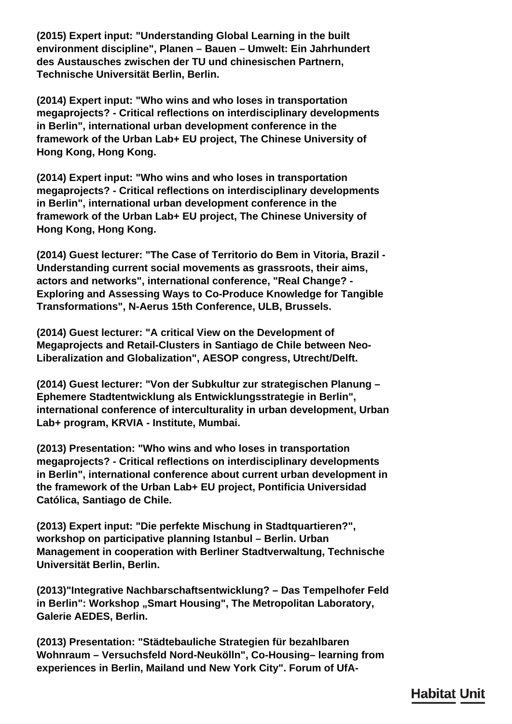**(2015) Expert input: "Understanding Global Learning in the built environment discipline", Planen – Bauen – Umwelt: Ein Jahrhundert des Austausches zwischen der TU und chinesischen Partnern, Technische Universität Berlin, Berlin.**

**(2014) Expert input: "Who wins and who loses in transportation megaprojects? - Critical reflections on interdisciplinary developments in Berlin", international urban development conference in the framework of the Urban Lab+ EU project, The Chinese University of Hong Kong, Hong Kong.**

**(2014) Expert input: "Who wins and who loses in transportation megaprojects? - Critical reflections on interdisciplinary developments in Berlin", international urban development conference in the framework of the Urban Lab+ EU project, The Chinese University of Hong Kong, Hong Kong.**

**(2014) Guest lecturer: "The Case of Territorio do Bem in Vitoria, Brazil - Understanding current social movements as grassroots, their aims, actors and networks", international conference, "Real Change? - Exploring and Assessing Ways to Co-Produce Knowledge for Tangible Transformations", N-Aerus 15th Conference, ULB, Brussels.**

**(2014) Guest lecturer: "A critical View on the Development of Megaprojects and Retail-Clusters in Santiago de Chile between Neo-Liberalization and Globalization", AESOP congress, Utrecht/Delft.**

**(2014) Guest lecturer: "Von der Subkultur zur strategischen Planung – Ephemere Stadtentwicklung als Entwicklungsstrategie in Berlin", international conference of interculturality in urban development, Urban Lab+ program, KRVIA - Institute, Mumbai.**

**(2013) Presentation: "Who wins and who loses in transportation megaprojects? - Critical reflections on interdisciplinary developments in Berlin", international conference about current urban development in the framework of the Urban Lab+ EU project, Pontificia Universidad Católica, Santiago de Chile.**

**(2013) Expert input: "Die perfekte Mischung in Stadtquartieren?", workshop on participative planning Istanbul – Berlin. Urban Management in cooperation with Berliner Stadtverwaltung, Technische Universität Berlin, Berlin.**

**(2013)"Integrative Nachbarschaftsentwicklung? – Das Tempelhofer Feld** in Berlin": Workshop "Smart Housing", The Metropolitan Laboratory, **Galerie AEDES, Berlin.**

**(2013) Presentation: "Städtebauliche Strategien für bezahlbaren Wohnraum – Versuchsfeld Nord-Neukölln", Co-Housing– learning from experiences in Berlin, Mailand und New York City". Forum of UfA-**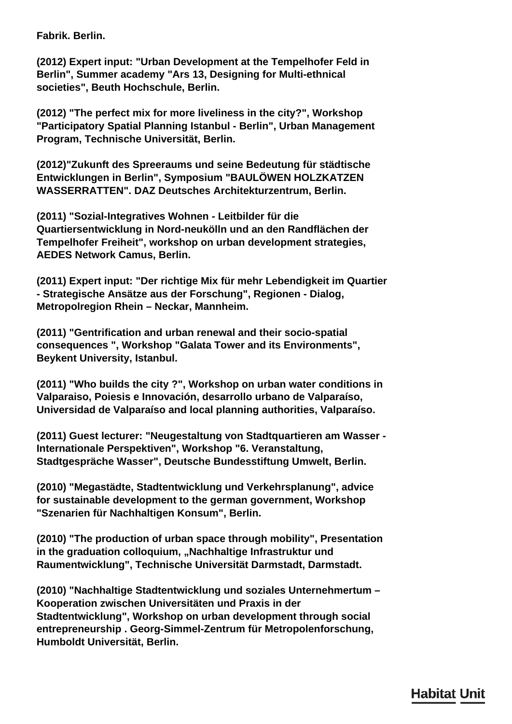**Fabrik. Berlin.**

**(2012) Expert input: "Urban Development at the Tempelhofer Feld in Berlin", Summer academy "Ars 13, Designing for Multi-ethnical societies", Beuth Hochschule, Berlin.**

**(2012) "The perfect mix for more liveliness in the city?", Workshop "Participatory Spatial Planning Istanbul - Berlin", Urban Management Program, Technische Universität, Berlin.**

**(2012)"Zukunft des Spreeraums und seine Bedeutung für städtische Entwicklungen in Berlin", Symposium "BAULÖWEN HOLZKATZEN WASSERRATTEN". DAZ Deutsches Architekturzentrum, Berlin.**

**(2011) "Sozial-Integratives Wohnen - Leitbilder für die Quartiersentwicklung in Nord-neukölln und an den Randflächen der Tempelhofer Freiheit", workshop on urban development strategies, AEDES Network Camus, Berlin.**

**(2011) Expert input: "Der richtige Mix für mehr Lebendigkeit im Quartier - Strategische Ansätze aus der Forschung", Regionen - Dialog, Metropolregion Rhein – Neckar, Mannheim.**

**(2011) "Gentrification and urban renewal and their socio-spatial consequences ", Workshop "Galata Tower and its Environments", Beykent University, Istanbul.**

**(2011) "Who builds the city ?", Workshop on urban water conditions in Valparaiso, Poiesis e Innovación, desarrollo urbano de Valparaíso, Universidad de Valparaíso and local planning authorities, Valparaíso.**

**(2011) Guest lecturer: "Neugestaltung von Stadtquartieren am Wasser - Internationale Perspektiven", Workshop "6. Veranstaltung, Stadtgespräche Wasser", Deutsche Bundesstiftung Umwelt, Berlin.**

**(2010) "Megastädte, Stadtentwicklung und Verkehrsplanung", advice for sustainable development to the german government, Workshop "Szenarien für Nachhaltigen Konsum", Berlin.**

**(2010) "The production of urban space through mobility", Presentation** in the graduation colloquium, "Nachhaltige Infrastruktur und **Raumentwicklung", Technische Universität Darmstadt, Darmstadt.**

**(2010) "Nachhaltige Stadtentwicklung und soziales Unternehmertum – Kooperation zwischen Universitäten und Praxis in der Stadtentwicklung", Workshop on urban development through social entrepreneurship . Georg-Simmel-Zentrum für Metropolenforschung, Humboldt Universität, Berlin.**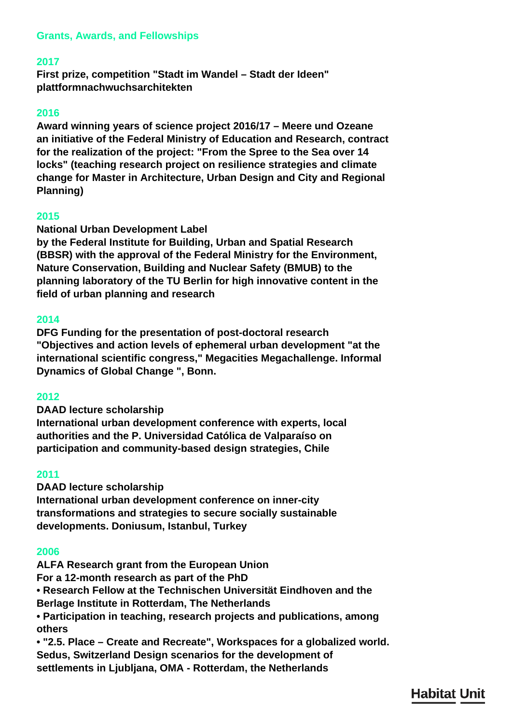# **Grants, Awards, and Fellowships**

## **2017**

**First prize, competition "Stadt im Wandel – Stadt der Ideen" plattformnachwuchsarchitekten**

#### **2016**

**Award winning years of science project 2016/17 – Meere und Ozeane an initiative of the Federal Ministry of Education and Research, contract for the realization of the project: "From the Spree to the Sea over 14 locks" (teaching research project on resilience strategies and climate change for Master in Architecture, Urban Design and City and Regional Planning)**

#### **2015**

#### **National Urban Development Label**

**by the Federal Institute for Building, Urban and Spatial Research (BBSR) with the approval of the Federal Ministry for the Environment, Nature Conservation, Building and Nuclear Safety (BMUB) to the planning laboratory of the TU Berlin for high innovative content in the field of urban planning and research**

#### **2014**

**DFG Funding for the presentation of post-doctoral research "Objectives and action levels of ephemeral urban development "at the international scientific congress," Megacities Megachallenge. Informal Dynamics of Global Change ", Bonn.**

#### **2012**

**DAAD lecture scholarship**

**International urban development conference with experts, local authorities and the P. Universidad Católica de Valparaíso on participation and community-based design strategies, Chile**

#### **2011**

**DAAD lecture scholarship International urban development conference on inner-city transformations and strategies to secure socially sustainable developments. Doniusum, Istanbul, Turkey**

#### **2006**

**ALFA Research grant from the European Union For a 12-month research as part of the PhD • Research Fellow at the Technischen Universität Eindhoven and the Berlage Institute in Rotterdam, The Netherlands • Participation in teaching, research projects and publications, among others**

**• "2.5. Place – Create and Recreate", Workspaces for a globalized world. Sedus, Switzerland Design scenarios for the development of settlements in Ljubljana, OMA - Rotterdam, the Netherlands**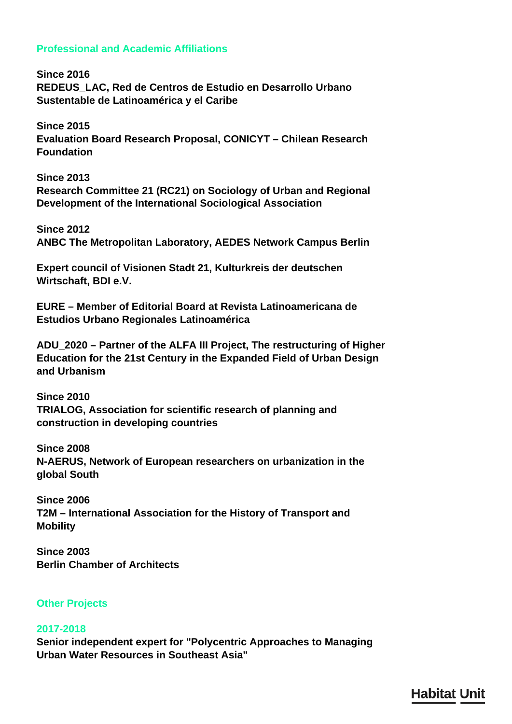## **Professional and Academic Affiliations**

**Since 2016 REDEUS\_LAC, Red de Centros de Estudio en Desarrollo Urbano Sustentable de Latinoamérica y el Caribe**

**Since 2015 Evaluation Board Research Proposal, CONICYT – Chilean Research Foundation**

**Since 2013 Research Committee 21 (RC21) on Sociology of Urban and Regional Development of the International Sociological Association**

**Since 2012 ANBC The Metropolitan Laboratory, AEDES Network Campus Berlin**

**Expert council of Visionen Stadt 21, Kulturkreis der deutschen Wirtschaft, BDI e.V.**

**EURE – Member of Editorial Board at Revista Latinoamericana de Estudios Urbano Regionales Latinoamérica**

**ADU\_2020 – Partner of the ALFA III Project, The restructuring of Higher Education for the 21st Century in the Expanded Field of Urban Design and Urbanism**

**Since 2010 TRIALOG, Association for scientific research of planning and construction in developing countries**

**Since 2008 N-AERUS, Network of European researchers on urbanization in the global South**

**Since 2006 T2M – International Association for the History of Transport and Mobility**

**Since 2003 Berlin Chamber of Architects**

# **Other Projects**

## **2017-2018**

**Senior independent expert for "Polycentric Approaches to Managing Urban Water Resources in Southeast Asia"**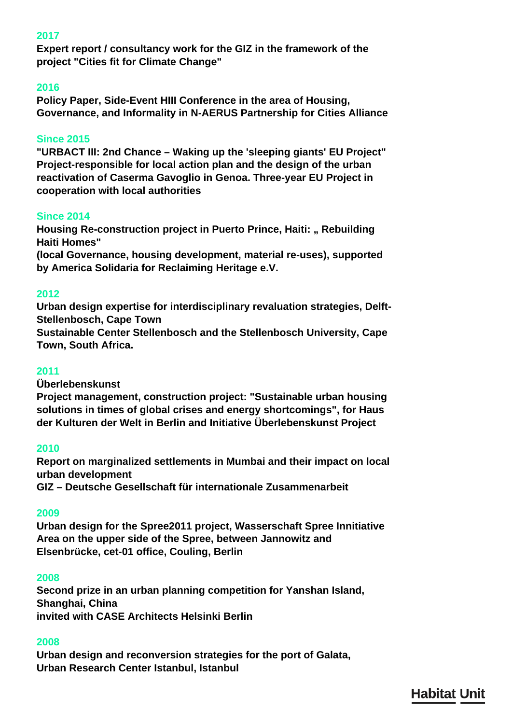# **2017**

**Expert report / consultancy work for the GIZ in the framework of the project "Cities fit for Climate Change"**

### **2016**

**Policy Paper, Side-Event HIII Conference in the area of Housing, Governance, and Informality in N-AERUS Partnership for Cities Alliance**

### **Since 2015**

**"URBACT III: 2nd Chance – Waking up the 'sleeping giants' EU Project" Project-responsible for local action plan and the design of the urban reactivation of Caserma Gavoglio in Genoa. Three-year EU Project in cooperation with local authorities**

## **Since 2014**

**Housing Re-construction project in Puerto Prince, Haiti: " Rebuilding Haiti Homes"**

**(local Governance, housing development, material re-uses), supported by America Solidaria for Reclaiming Heritage e.V.**

#### **2012**

**Urban design expertise for interdisciplinary revaluation strategies, Delft-Stellenbosch, Cape Town**

**Sustainable Center Stellenbosch and the Stellenbosch University, Cape Town, South Africa.**

## **2011**

**Überlebenskunst**

**Project management, construction project: "Sustainable urban housing solutions in times of global crises and energy shortcomings", for Haus der Kulturen der Welt in Berlin and Initiative Überlebenskunst Project**

#### **2010**

**Report on marginalized settlements in Mumbai and their impact on local urban development**

**GIZ – Deutsche Gesellschaft für internationale Zusammenarbeit**

# **2009**

**Urban design for the Spree2011 project, Wasserschaft Spree Innitiative Area on the upper side of the Spree, between Jannowitz and Elsenbrücke, cet-01 office, Couling, Berlin**

#### **2008**

**Second prize in an urban planning competition for Yanshan Island, Shanghai, China invited with CASE Architects Helsinki Berlin**

#### **2008**

**Urban design and reconversion strategies for the port of Galata, Urban Research Center Istanbul, Istanbul**